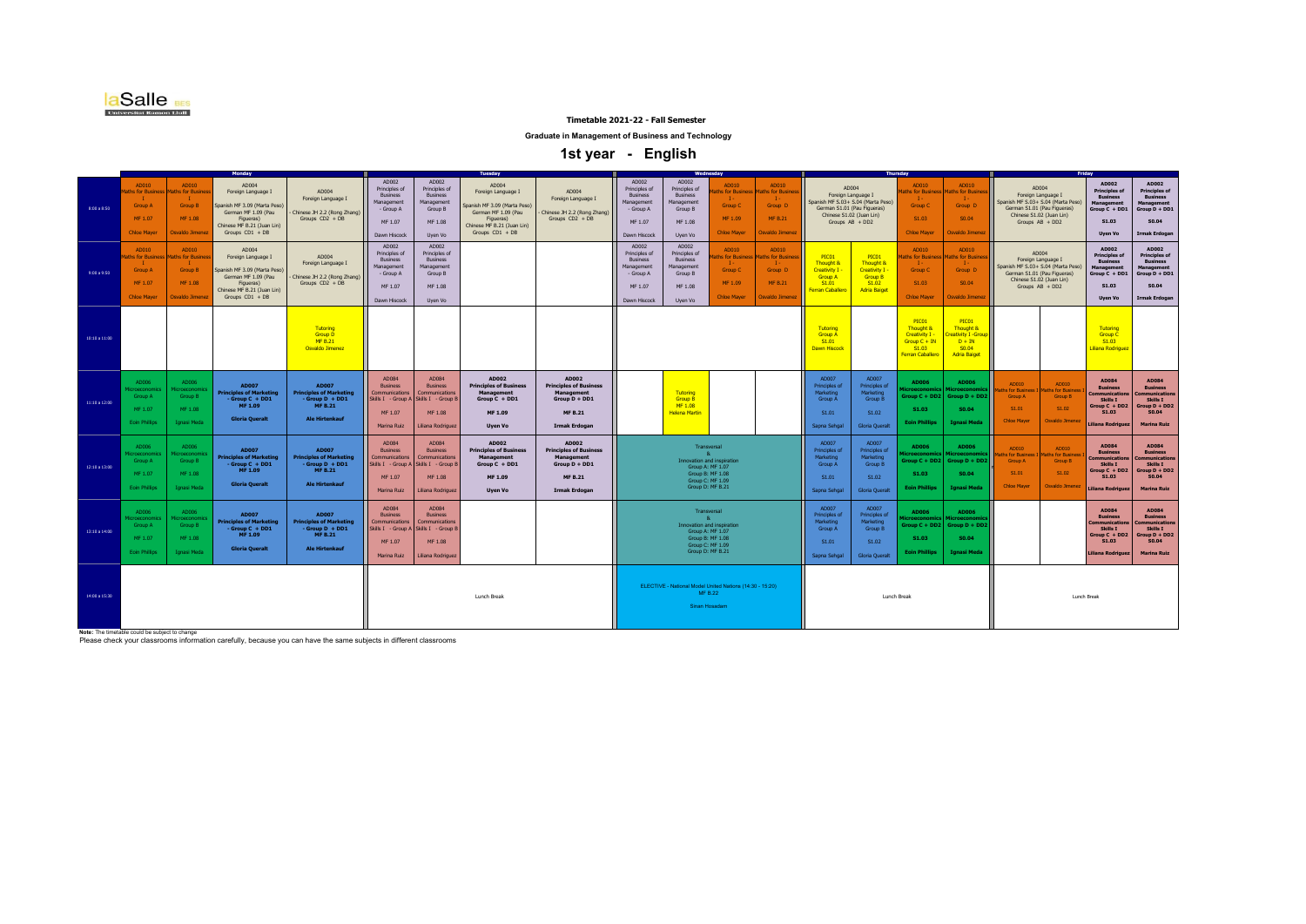

**Graduate in Management of Business and Technology**

 **1st year - English** 

|               |                                                                                     |                                                                          |                                                                                                                                                    |                                                                                                                  |                                                                                                               |                                                                                          | uesday                                                                                                                                           |                                                                                                                        |                                                                                                 |                                                                                          |                                                                                                                                           |                                                                                          |                                                                                                                                                   |                                                                                                 |                                                                                            |                                                                                             |                                                                                                                                        |                                                                   |                                                                                                                     |                                                                                                                  |
|---------------|-------------------------------------------------------------------------------------|--------------------------------------------------------------------------|----------------------------------------------------------------------------------------------------------------------------------------------------|------------------------------------------------------------------------------------------------------------------|---------------------------------------------------------------------------------------------------------------|------------------------------------------------------------------------------------------|--------------------------------------------------------------------------------------------------------------------------------------------------|------------------------------------------------------------------------------------------------------------------------|-------------------------------------------------------------------------------------------------|------------------------------------------------------------------------------------------|-------------------------------------------------------------------------------------------------------------------------------------------|------------------------------------------------------------------------------------------|---------------------------------------------------------------------------------------------------------------------------------------------------|-------------------------------------------------------------------------------------------------|--------------------------------------------------------------------------------------------|---------------------------------------------------------------------------------------------|----------------------------------------------------------------------------------------------------------------------------------------|-------------------------------------------------------------------|---------------------------------------------------------------------------------------------------------------------|------------------------------------------------------------------------------------------------------------------|
| 8:00 a 8:50   | AD010<br>ths for Busines<br>- 11<br><b>Group A</b><br>MF 1.07<br><b>Chloe Mayer</b> | AD010<br>ths for Busine<br>- 1<br>Group B<br>MF 1.08<br>Osvaldo Jimenez  | AD004<br>Foreign Language I<br>Spanish MF 3.09 (Marta Peso)<br>German MF 1.09 (Pau<br>Figueras)<br>Chinese MF B.21 (Juan Lin)<br>Groups CD1 + DB   | AD004<br>Foreign Language I<br>Chinese JH 2.2 (Rong Zhang)<br>Groups CD2 + DB                                    | AD002<br>Principles of<br><b>Business</b><br>Management<br>- Group A<br>MF 1.07<br>Dawn Hiscock               | AD002<br>Principles of<br><b>Business</b><br>Management<br>Group B<br>MF 1.08<br>Uyen Vo | AD004<br>Foreign Language I<br>Spanish MF 3.09 (Marta Peso)<br>German MF 1.09 (Pau<br>Figueras)<br>Chinese MF B.21 (Juan Lin)<br>Groups CD1 + DB | AD004<br>Foreign Language I<br>Chinese JH 2.2 (Rong Zhang)<br>Groups CD2 + DB                                          | AD002<br>Principles of<br><b>Business</b><br>Management<br>- Group A<br>MF 1.07<br>Dawn Hiscock | AD002<br>Principles of<br><b>Business</b><br>Management<br>Group B<br>MF 1.08<br>Uyen Vo | AD010<br>hs for Busi<br>$\mathbf{I}$<br><b>Group C</b><br>MF 1.09<br><b>Chloe Maver</b>                                                   | AD010<br>ths for Busine<br>$\mathbf{I}$<br>Group D<br><b>MF B.21</b><br>Osvaldo Jimenez  | AD004<br>Foreign Language I<br>Spanish MF S.03+ S.04 (Marta Peso)<br>German S1.01 (Pau Figueras)<br>Chinese S1.02 (Juan Lin)<br>Groups $AB + DD2$ |                                                                                                 | AD010<br>aths for Busines<br>- 14<br>Group C<br>S1.03<br><b>Chloe Maver</b>                | AD010<br>ths for Busines<br>$\mathbf{I}$<br>Group D<br>SO.04<br>Osvaldo Jimenez             | Foreign Language I<br>Spanish MF S.03+ S.04 (Marta Peso)<br>German S1.01 (Pau Figueras)<br>Chinese S1.02 (Juan Lin)<br>Groups AB + DD2 | AD004                                                             | AD002<br><b>Principles of</b><br><b>Business</b><br>Management<br>Group C + DD1<br>S1.03<br><b>Uyen Vo</b>          | AD002<br><b>Principles of</b><br><b>Business</b><br>Management<br>Group D + DD1<br>S0.04<br><b>Irmak Erdogan</b> |
| 9:00 a 9:50   | AD010<br>aths for Busines<br><b>Group A</b><br>MF 1.07<br><b>Chloe Mayer</b>        | AD010<br>ths for Busines<br><b>Group B</b><br>MF 1.08<br>Osvaldo Jimenez | AD004<br>Foreign Language I<br>Spanish MF 3.09 (Marta Peso)<br>German MF 1.09 (Pau<br>Figueras)<br>Chinese MF B.21 (Juan Lin)<br>Groups $CD1 + DB$ | AD004<br>Foreign Language I<br>Chinese JH 2.2 (Rong Zhang)<br>Groups CD2 + DB                                    | AD002<br>Principles of<br>Business<br>Management<br>- Group A<br>MF 1.07<br>Dawn Hiscock                      | AD002<br>Principles of<br><b>Business</b><br>Management<br>Group B<br>MF 1.08<br>Uyen Vo |                                                                                                                                                  |                                                                                                                        | AD002<br>Principles of<br><b>Business</b><br>Management<br>- Group A<br>MF 1.07<br>Dawn Hiscock | AD002<br>Principles of<br><b>Business</b><br>Management<br>Group B<br>MF 1.08<br>Uyen Vo | AD010<br>hs for Busine<br>$\mathbf{I}$<br><b>Group C</b><br>MF 1.09<br><b>Chloe Maver</b>                                                 | AD010<br>aths for Busine<br>$\mathbf{I}$<br>Group D<br><b>MF B.21</b><br>Osvaldo Jimenez | PIC01<br>Thought &<br>Creativity I -<br><b>Group A</b><br>S1.01<br><b>Ferran Caballero</b>                                                        | PICO1<br><b>Thought &amp;</b><br>Creativity I<br><b>Group B</b><br>S1.02<br><b>Adria Baiget</b> | AD010<br>ths for Busines<br>Group C<br>S1.03<br><b>Chloe Mayer</b>                         | AD010<br>ths for Busine<br>$\mathbf{I}$<br>Group D<br>SO.04<br>Osvaldo Jimenez              | Foreign Language I<br>Spanish MF S.03+ S.04 (Marta Peso)<br>German S1.01 (Pau Figueras)<br>Chinese S1.02 (Juan Lin)<br>Groups AB + DD2 | AD004                                                             | AD002<br><b>Principles of</b><br><b>Business</b><br>Management<br>Group C + DD1<br>S1.03<br><b>Uyen Vo</b>          | AD002<br><b>Principles of</b><br><b>Business</b><br>Management<br>Group D + DD1<br>S0.04<br><b>Irmak Erdogan</b> |
| 10:10 a 11:00 |                                                                                     |                                                                          |                                                                                                                                                    | Tutoring<br><b>Group D</b><br>MF B.21<br>Osvaldo Jimenez                                                         |                                                                                                               |                                                                                          |                                                                                                                                                  |                                                                                                                        |                                                                                                 |                                                                                          |                                                                                                                                           |                                                                                          | Tutoring<br><b>Group A</b><br>S1.01<br><b>Dawn Hiscock</b>                                                                                        |                                                                                                 | PIC01<br>Thought &<br>Creativity I -<br>$Group C + IN$<br>S1.03<br><b>Ferran Caballero</b> | PIC01<br>Thought &<br><b>reativity I -Group</b><br>$D + IN$<br>S0.04<br><b>Adria Baiget</b> |                                                                                                                                        |                                                                   | Tutoring<br><b>Group C</b><br>S1.03<br>Liliana Rodriguez                                                            |                                                                                                                  |
| 11:10 a 12:00 | AD006<br>ficroeconomic<br>Group A<br>MF 1.07<br><b>Eoin Phillips</b>                | AD006<br>icroeconomic<br>Group B<br>MF 1.08<br><b>Ignasi Meda</b>        | <b>AD007</b><br><b>Principles of Marketing</b><br>- Group C + DD1<br>MF 1.09<br><b>Gloria Queralt</b>                                              | <b>AD007</b><br><b>Principles of Marketing</b><br>$-$ Group $D + DD1$<br><b>MF B.21</b><br><b>Ale Hirtenkauf</b> | AD084<br><b>Business</b><br>Communications<br>Skills I - Group A Skills I - Group B<br>MF 1.07<br>Marina Ruiz | AD084<br><b>Business</b><br>Communications<br>MF 1.08<br>Liliana Rodriguez               | AD002<br><b>Principles of Business</b><br><b>Management</b><br>$Group C + DD1$<br>MF 1.09<br>Uyen Vo                                             | AD002<br><b>Principles of Business</b><br><b>Management</b><br>Group D + DD1<br><b>MF B.21</b><br><b>Irmak Erdogan</b> |                                                                                                 | Tutoring<br><b>Group B</b><br>MF 1.08<br><b>Helena Martin</b>                            |                                                                                                                                           |                                                                                          | AD007<br><b>Principles of</b><br>Marketing<br>Group A<br>S1.01<br>Sapna Sehgal                                                                    | AD007<br>Principles of<br><b>Marketing</b><br><b>Group B</b><br>S1.02<br><b>Gloria Queralt</b>  | AD006<br>croecono<br>S1.03<br><b>Eoin Phillips</b>                                         | AD006<br>TOPCODO<br>Group $C + DD2$ Group $D + DD2$<br>S0.04<br>Ignasi Meda                 | AD010<br>hs for Business<br><b>Group A</b><br>S1.01<br><b>Chloe Maver</b>                                                              | AD010<br>laths for Busines<br>Group B<br>S1.02<br>Osvaldo Jimenez | AD084<br><b>Business</b><br><b>Communications</b><br>Skills I<br>Group C + DD2<br>S1.03<br>Liliana Rodriguez        | AD084<br><b>Business</b><br><b>Communications</b><br>Skills I<br>Group D + DD2<br>S0.04<br><b>Marina Ruiz</b>    |
| 12:10 a 13:00 | AD006<br>croeconom<br>Group A<br>MF 1.07<br><b>Eoin Phillips</b>                    | AD006<br>croeconomic<br>Group B<br>MF 1.08<br><b>Ignasi Meda</b>         | <b>AD007</b><br><b>Principles of Marketing</b><br>- Group C + DD1<br>MF 1.09<br><b>Gloria Oueralt</b>                                              | <b>AD007</b><br><b>Principles of Marketing</b><br>$-GrouD + DD1$<br>MF B.21<br><b>Ale Hirtenkauf</b>             | AD084<br><b>Business</b><br>Communications<br>Skills I - Group A Skills I - Group B<br>MF 1.07<br>Marina Ruiz | AD084<br><b>Business</b><br>Communications<br>MF 1.08<br>Liliana Rodriguez               | AD002<br><b>Principles of Business</b><br><b>Management</b><br>Group C + DD1<br>MF 1.09<br><b>Uven Vo</b>                                        | AD002<br><b>Principles of Business</b><br><b>Management</b><br>Group D + DD1<br><b>MF B.21</b><br><b>Irmak Erdogan</b> |                                                                                                 |                                                                                          | Transversal<br>$\mathbf{R}$<br>Innovation and inspiration<br>Group A: MF 1.07<br>Group B: MF 1.08<br>Group C: MF 1.09<br>Group D: MF B.21 |                                                                                          | AD007<br><b>Principles of</b><br>Marketing<br>Group A<br>S1.01<br>Sapna Sehgal                                                                    | AD007<br>Principles of<br>Marketing<br><b>Group B</b><br>S1.02<br><b>Gloria Oueralt</b>         | AD006<br>S1.03<br><b>Eoin Phillips</b>                                                     | AD006<br>roeconc<br>Group C + DD2 Group D + DD2<br>S0.04<br>Ignasi Meda                     | AD010<br>hs for Busines<br><b>Group A</b><br>S1.01<br><b>Chloe Mayer</b>                                                               | AD010<br>aths for Busines<br>Group B<br>S1.02<br>Osvaldo Jimenez  | AD084<br><b>Business</b><br><b>Communications</b><br>Skills I<br>Group C + DD2<br>S1.03<br><b>iliana Rodrigues</b>  | AD084<br><b>Business</b><br>mmunications<br>Skills I<br>Group D + DD2<br>S0.04<br><b>Marina Ruiz</b>             |
| 13:10 a 14:00 | AD006<br>icroeconomic<br>Group A<br>MF 1.07<br><b>Eoin Phillips</b>                 | AD006<br>croeconom<br>Group B<br>MF 1.08<br>Ignasi Meda                  | <b>AD007</b><br><b>Principles of Marketing</b><br>- Group C + DD1<br>MF 1.09<br><b>Gloria Queralt</b>                                              | <b>AD007</b><br><b>Principles of Marketing</b><br>$-GrouD + DD1$<br><b>MF B.21</b><br><b>Ale Hirtenkauf</b>      | AD084<br><b>Business</b><br>Communications<br>Skills I - Group A Skills I - Group B<br>MF 1.07<br>Marina Ruiz | AD084<br><b>Business</b><br>Communications<br>MF 1.08<br>Liliana Rodriguez               |                                                                                                                                                  |                                                                                                                        |                                                                                                 |                                                                                          | Transversal<br>Innovation and inspiration<br>Group A: MF 1.07<br>Group B: MF 1.08<br>Group C: MF 1.09<br>Group D: MF B.21                 |                                                                                          | AD007<br><b>Principles of</b><br>Marketing<br><b>Group A</b><br>S1.01<br>Sapna Sehgal                                                             | AD007<br>Principles of<br>Marketing<br>Group B<br>S1.02<br><b>Gloria Queralt</b>                | <b>AD006</b><br>$Group C + DD2$<br>S1.03<br><b>Eoin Phillips</b>                           | <b>AD006</b><br>Group D + DD2<br>S0.04<br><b>Ignasi Meda</b>                                |                                                                                                                                        |                                                                   | AD084<br><b>Rueingee</b><br><b>Communications</b><br>Skills I<br>Group C + DD2<br>S1.03<br><b>Liliana Rodriguez</b> | AD084<br><b>Business</b><br><b>Communications</b><br>Skills I<br>Group D + DD2<br>S0.04<br><b>Marina Ruiz</b>    |
| 14:00 a 15:30 |                                                                                     |                                                                          |                                                                                                                                                    |                                                                                                                  |                                                                                                               |                                                                                          | Lunch Break                                                                                                                                      |                                                                                                                        |                                                                                                 | ELECTIVE - National Model United Nations (14:30 - 15:20)                                 | <b>MF B.22</b><br>Sinan Hosadam                                                                                                           |                                                                                          |                                                                                                                                                   | Lunch Break                                                                                     |                                                                                            |                                                                                             |                                                                                                                                        | Lunch Break                                                       |                                                                                                                     |                                                                                                                  |

**Note:** The timetable could be subject to change Please check your classrooms information carefully, because you can have the same subjects in different classrooms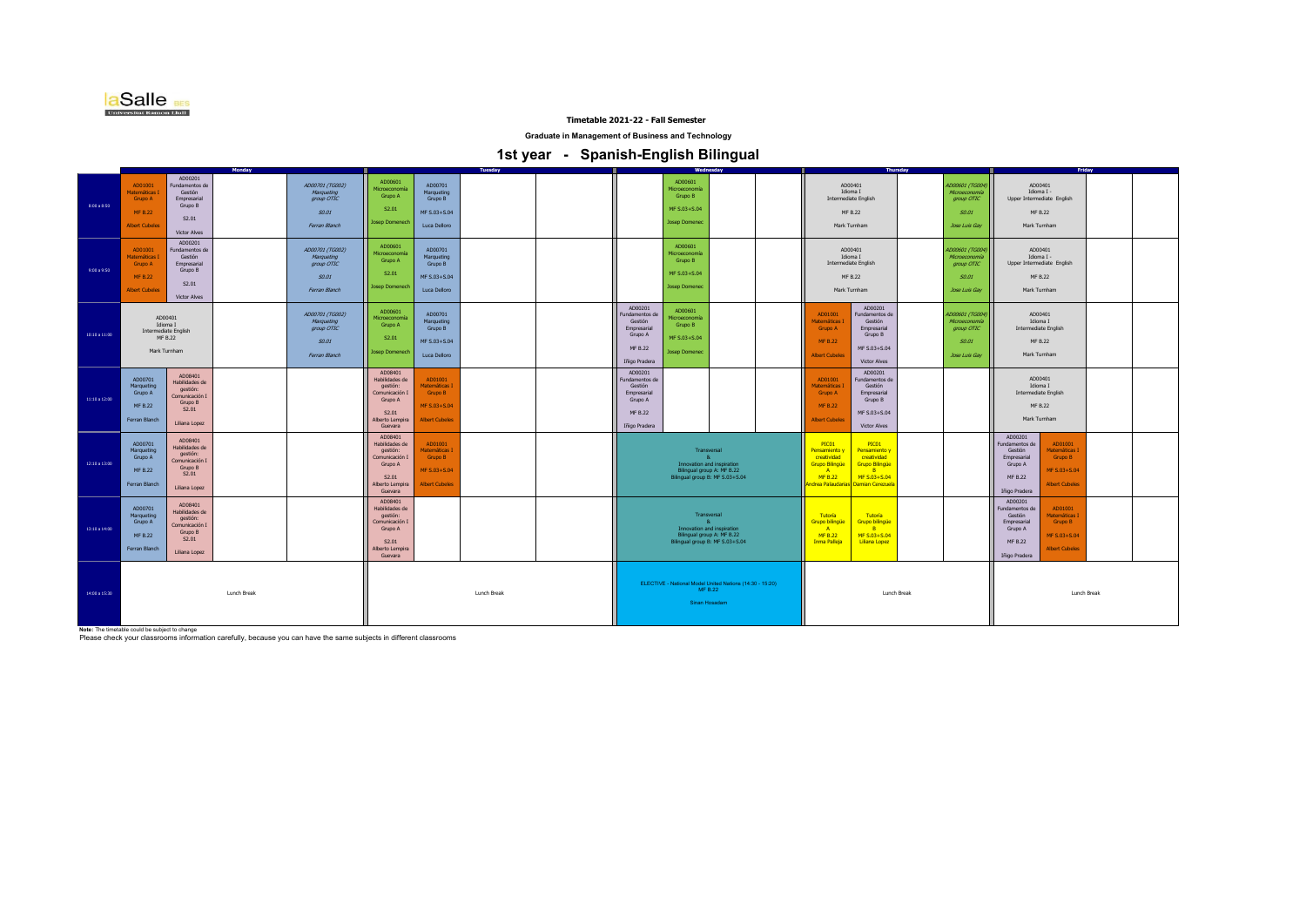

**Graduate in Management of Business and Technology**

 **1st year - Spanish-English Bilingual** 

|               |                                                                               |                                                                                              | Monday |                                                                       |                                                                                                           |                                                                              | <b>Tuesday</b>                                                                              |  |                                                                                            |                                                                             | Wednesday                                                     |  |                                                                                                                              | <b>Thursday</b>                                                                                       |             |                                                                                 |                                                                                            | Friday                                                                       |  |
|---------------|-------------------------------------------------------------------------------|----------------------------------------------------------------------------------------------|--------|-----------------------------------------------------------------------|-----------------------------------------------------------------------------------------------------------|------------------------------------------------------------------------------|---------------------------------------------------------------------------------------------|--|--------------------------------------------------------------------------------------------|-----------------------------------------------------------------------------|---------------------------------------------------------------|--|------------------------------------------------------------------------------------------------------------------------------|-------------------------------------------------------------------------------------------------------|-------------|---------------------------------------------------------------------------------|--------------------------------------------------------------------------------------------|------------------------------------------------------------------------------|--|
| 8:00 a 8:50   | AD01001<br>Matemáticas I<br>Grupo A<br>MF B.22<br><b>Albert Cubeles</b>       | AD00201<br>Fundamentos de<br>Gestión<br>Empresarial<br>Grupo B<br>S2.01<br>Victor Alves      |        | AD00701 (TG002)<br>Marqueting<br>group OTIC<br>S0.01<br>Ferran Blanch | AD00601<br>Microeconomía<br>Grupo A<br>S2.01<br>Josep Domenech                                            | AD00701<br>Marqueting<br>Grupo B<br>MF S.03+S.04<br>Luca Delloro             |                                                                                             |  |                                                                                            | AD00601<br>Microeconomí<br>Grupo B<br>MF S.03+S.04<br><b>Josep Domenec</b>  |                                                               |  |                                                                                                                              | AD00401<br>Idioma I<br>Intermediate English<br>MF B.22<br>Mark Turnham                                |             | AD00601 (TG004)<br>Microeconomía<br>group OTIC<br>S0.01<br><b>Jose Luis Gav</b> | AD00401<br>Idioma I -<br>Upper Intermediate English<br>MF B.22<br>Mark Turnham             |                                                                              |  |
| 9:00 a 9:50   | AD01001<br>Matemáticas<br>Grupo A<br>MF B.22<br><b>Albert Cubeles</b>         | AD00201<br>Fundamentos de<br>Gestión<br>Empresarial<br>Grupo B<br>S2.01<br>Victor Alves      |        | AD00701 (TG002)<br>Marqueting<br>group OTIC<br>S0.01<br>Ferran Blanch | AD00601<br>Microeconomía<br>Grupo A<br>S2.01<br>Josep Domenech                                            | AD00701<br>Marqueting<br>Grupo B<br>MF S.03+S.04<br>Luca Delloro             |                                                                                             |  |                                                                                            | AD00601<br>Microeconomía<br>Grupo B<br>MF S.03+S.04<br><b>Josep Domenec</b> |                                                               |  |                                                                                                                              | AD00401<br>Idioma I<br>Intermediate English<br>MF B.22<br>Mark Turnham                                |             | AD00601 (TG004)<br>Microeconomía<br>group OTIC<br>S0.01<br>Jose Luis Gay        | AD00401<br>Idioma I -<br>Upper Intermediate English<br>MF B.22<br>Mark Turnham             |                                                                              |  |
| 10:10 a 11:00 | AD00401<br>Idioma I<br><b>Intermediate English</b><br>MF B.22<br>Mark Turnham |                                                                                              |        | AD00701 (TG002)<br>Marqueting<br>group OTIC<br>50.01<br>Ferran Blanch | AD00601<br>Microeconomía<br>Grupo A<br>S2.01<br>Josep Domenech                                            | AD00701<br>Marqueting<br>Grupo B<br>MF S.03+S.04<br>Luca Delloro             |                                                                                             |  | AD00201<br>Fundamentos de<br>Gestión<br>Empresarial<br>Grupo A<br>MF B.22<br>Iñigo Pradera | AD00601<br>Microeconomía<br>Grupo B<br>MF S.03+S.04<br><b>Josep Domenec</b> |                                                               |  | AD01001<br>Matemáticas I<br>Grupo A<br><b>MF B.22</b><br><b>Albert Cubeles</b>                                               | AD00201<br>Fundamentos de<br>Gestión<br>Empresarial<br>Grupo B<br>MF S.03+S.04<br>Victor Alves        |             | AD00601 (TG004)<br>Microeconomia<br>group OTIC<br>S0.01<br><b>Jose Luis Gav</b> | AD00401<br>Idioma I<br>Intermediate English<br>MF B.22<br>Mark Turnham                     |                                                                              |  |
| 11:10 a 12:00 | AD00701<br>Marqueting<br>Grupo A<br>MF B.22<br>Ferran Blanch                  | AD08401<br>Habilidades de<br>gestión:<br>Comunicación I<br>Grupo B<br>S2.01<br>Liliana Lopez |        |                                                                       | AD08401<br>Habilidades de<br>gestión:<br>Comunicación I<br>Grupo A<br>S2.01<br>Alberto Lempira<br>Guevara | AD01001<br>Matemáticas I<br>Grupo B<br>MF S.03+S.04<br><b>Albert Cubeles</b> |                                                                                             |  | AD00201<br>Fundamentos de<br>Gestión<br>Empresarial<br>Grupo A<br>MF B.22<br>Iñigo Pradera |                                                                             |                                                               |  | AD01001<br>Matemáticas I<br>Grupo A<br><b>MF B.22</b><br><b>Albert Cubeles</b>                                               | AD00201<br>Fundamentos de<br>Gestión<br>Empresarial<br>Grupo B<br>MF S.03+S.04<br><b>Victor Alves</b> |             |                                                                                 | AD00401<br>Idioma I<br>Intermediate English<br>MF B.22<br>Mark Turnham                     |                                                                              |  |
| 12:10 a 13:00 | AD00701<br>Marqueting<br>Grupo A<br><b>MF B.22</b><br>Ferran Blanch           | AD08401<br>Habilidades de<br>gestión:<br>Comunicación I<br>Grupo B<br>S2.01<br>Liliana Lopez |        |                                                                       | AD08401<br>Habilidades de<br>gestión:<br>Comunicación I<br>Grupo A<br>S2.01<br>Alberto Lempira<br>Guevara | AD01001<br>Matemáticas<br>Grupo B<br>MF S.03+S.04<br><b>Albert Cubeles</b>   |                                                                                             |  |                                                                                            | Transversal<br>-8<br>Bilingual group A: MF B.22                             | Innovation and inspiration<br>Bilingual group B: MF S.03+S.04 |  | PICO1<br>Pensamiento y<br>creatividad<br><b>Grupo Bilingüe</b><br>A<br><b>MF B.22</b><br>Andrea Palaudarias Damian Cerezuela | PIC01<br>Pensamiento y<br>creatividad<br><b>Grupo Bilingüe</b><br><b>B</b><br>MF S.03+S.04            |             |                                                                                 | AD00201<br>Fundamentos de<br>Gestión<br>Empresarial<br>Grupo A<br>MF B.22<br>Iñigo Pradera | AD01001<br>Matemáticas I<br>Grupo B<br>MF S.03+S.04<br><b>Albert Cubeles</b> |  |
| 13:10 a 14:00 | AD00701<br>Marqueting<br>Grupo A<br>MF B.22<br>Ferran Blanch                  | AD08401<br>Habilidades de<br>gestión:<br>Comunicación I<br>Grupo B<br>S2.01<br>Liliana Lopez |        |                                                                       | AD08401<br>Habilidades de<br>gestión:<br>Comunicación I<br>Grupo A<br>S2.01<br>Alberto Lempira<br>Guevara |                                                                              |                                                                                             |  |                                                                                            | Innovation and inspiration<br>Bilingual group A: MF B.22                    | Transversal<br>Bilingual group B: MF S.03+S.04                |  | Tutoría<br><b>Grupo bilingüe</b><br><b>A</b><br><b>MF B.22</b><br><b>Inma Palleja</b>                                        | Tutoría<br><b>Grupo bilingüe</b><br><b>B</b><br>MF S.03+S.04<br><b>Liliana Lopez</b>                  |             |                                                                                 | AD00201<br>Fundamentos de<br>Gestión<br>Empresarial<br>Grupo A<br>MF B.22<br>Iñigo Pradera | AD01001<br>Matemáticas<br>Grupo B<br>MF S.03+S.04<br><b>Albert Cubeles</b>   |  |
| 14:00 a 15:30 | Lunch Break                                                                   |                                                                                              |        | Lunch Break                                                           |                                                                                                           |                                                                              | ELECTIVE - National Model United Nations (14:30 - 15:20)<br><b>MF B.22</b><br>Sinan Hosadam |  |                                                                                            | Lunch Break                                                                 |                                                               |  |                                                                                                                              |                                                                                                       | Lunch Break |                                                                                 |                                                                                            |                                                                              |  |

**Note:** The timetable could be subject to change Please check your classrooms information carefully, because you can have the same subjects in different classrooms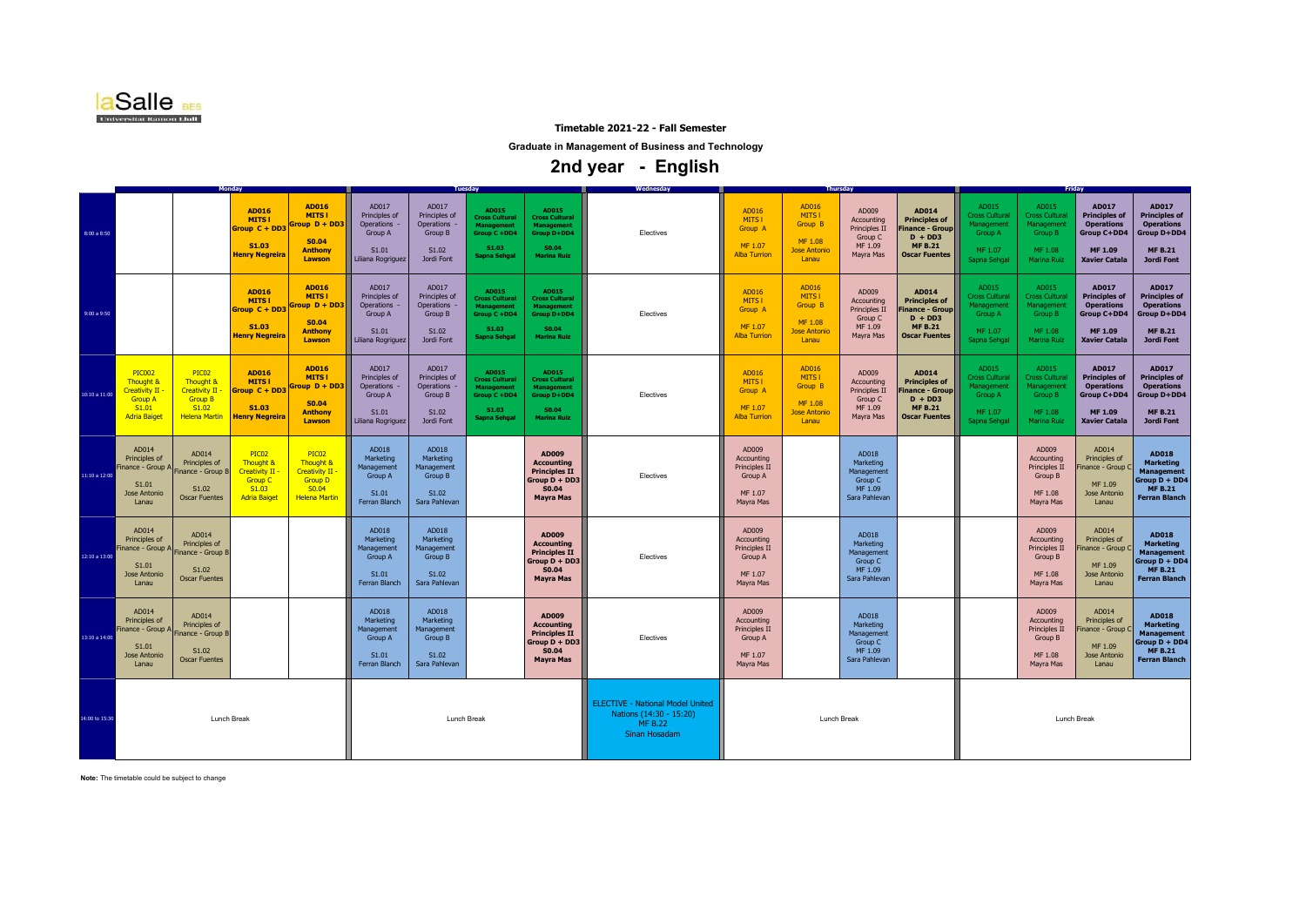

**Graduate in Management of Business and Technology**

 **2nd year - English** 

|                |                                                                                                      |                                                                                                           | Monday                                                                                                              |                                                                                                                |                                                                               |                                                                          | <b>Tuesday</b>                                                                                      |                                                                                                   | <b>Wednesday</b>                                                                                      |                                                                         |                                                                       | <b>Thursday</b>                                                         |                                                                                                          | Friday                                                                            |                                                                                          |                                                                                                      |                                                                                                                  |  |  |
|----------------|------------------------------------------------------------------------------------------------------|-----------------------------------------------------------------------------------------------------------|---------------------------------------------------------------------------------------------------------------------|----------------------------------------------------------------------------------------------------------------|-------------------------------------------------------------------------------|--------------------------------------------------------------------------|-----------------------------------------------------------------------------------------------------|---------------------------------------------------------------------------------------------------|-------------------------------------------------------------------------------------------------------|-------------------------------------------------------------------------|-----------------------------------------------------------------------|-------------------------------------------------------------------------|----------------------------------------------------------------------------------------------------------|-----------------------------------------------------------------------------------|------------------------------------------------------------------------------------------|------------------------------------------------------------------------------------------------------|------------------------------------------------------------------------------------------------------------------|--|--|
| 8:00 a 8:50    |                                                                                                      |                                                                                                           | AD016<br><b>MITS1</b><br>Group C + DD3<br>S1.03<br><b>Henry Negreira</b>                                            | AD016<br><b>MITS1</b><br>$Group D + DD3$<br><b>S0.04</b><br><b>Anthony</b><br>Lawson                           | AD017<br>Principles of<br>Operations<br>Group A<br>S1.01<br>Liliana Rogriguez | AD017<br>Principles of<br>Operations -<br>Group B<br>S1.02<br>Jordi Font | AD015<br><b>Cross Cultural</b><br><b>Management</b><br>Group C +DD4<br>S1.03<br>Sapna Sehgal        | AD015<br><b>Cross Cultural</b><br><b>Management</b><br>Group D+DD4<br>S0.04<br><b>Marina Ruiz</b> | Electives                                                                                             | AD016<br>MITS I<br>Group A<br>MF 1.07<br><b>Alba Turrion</b>            | AD016<br>MITS I<br>Group B<br>MF 1.08<br><b>Jose Antonio</b><br>Lanau | AD009<br>Accounting<br>Principles II<br>Group C<br>MF 1.09<br>Mayra Mas | AD014<br><b>Principles of</b><br>inance - Group  <br>$D + DD3$<br><b>MF B.21</b><br><b>Oscar Fuentes</b> | AD015<br><b>Cross Cultural</b><br>danagement<br>Group A<br>MF 1.07<br>Sapna Sehga | AD015<br><b>Cross Cultural</b><br>Management<br>Group B<br>MF 1.08<br><b>Marina Ruiz</b> | AD017<br><b>Principles of</b><br><b>Operations</b><br>Group C+DD4<br>MF 1.09<br><b>Xavier Catala</b> | AD017<br><b>Principles of</b><br><b>Operations</b><br>Group D+DD4<br><b>MF B.21</b><br><b>Jordi Font</b>         |  |  |
| 9:00a9:50      |                                                                                                      |                                                                                                           | AD016<br><b>MITS1</b><br>Group C + DD3<br>S1.03<br><b>Henry Negreira</b>                                            | <b>AD016</b><br><b>MITS1</b><br>$Group\ D+DD3$<br>S0.04<br><b>Anthony</b><br>Lawson                            | AD017<br>Principles of<br>Operations<br>Group A<br>S1.01<br>Liliana Rogriguez | AD017<br>Principles of<br>Operations<br>Group B<br>S1.02<br>Jordi Font   | AD015<br><b>Cross Cultural</b><br><b>Management</b><br>Group C +DD4<br>S1.03<br><b>Sapna Sehgal</b> | AD015<br><b>Cross Cultural</b><br><b>Management</b><br>Group D+DD4<br>S0.04<br><b>Marina Ruiz</b> | Electives                                                                                             | AD016<br>MITS I<br>Group A<br>MF 1.07<br><b>Alba Turrion</b>            | AD016<br>MITS I<br>Group B<br>MF 1.08<br><b>Jose Antonio</b><br>Lanau | AD009<br>Accounting<br>Principles II<br>Group C<br>MF 1.09<br>Mayra Mas | AD014<br><b>Principles of</b><br>inance - Group<br>$D + DD3$<br><b>MF B.21</b><br><b>Oscar Fuentes</b>   | AD015<br><b>Cross Cultura</b><br>Management<br>Group A<br>MF 1.07<br>Sapna Sehgal | AD015<br><b>Cross Cultural</b><br>Management<br>Group B<br>MF 1.08<br>Marina Ruiz        | AD017<br><b>Principles of</b><br><b>Operations</b><br>Group C+DD4<br>MF 1.09<br><b>Xavier Catala</b> | AD017<br><b>Principles of</b><br><b>Operations</b><br>Group D+DD4<br><b>MF B.21</b><br><b>Jordi Font</b>         |  |  |
| 10:10 a 11:00  | <b>PIC002</b><br>Thought &<br><b>Creativity II</b><br><b>Group A</b><br>S1.01<br><b>Adria Baiget</b> | PIC <sub>02</sub><br>Thought 8<br><b>Creativity II</b><br><b>Group B</b><br>S1.02<br><b>Helena Martin</b> | <b>AD016</b><br><b>MITS1</b><br>Group C + DD3<br>S1.03<br><b>Henry Negreira</b>                                     | <b>AD016</b><br><b>MITS1</b><br>$Group D + DD3$<br>S0.04<br><b>Anthony</b><br>Lawson                           | AD017<br>Principles of<br>Operations<br>Group A<br>S1.01<br>Liliana Rogriguez | AD017<br>Principles of<br>Operations -<br>Group B<br>S1.02<br>Jordi Font | AD015<br><b>Cross Cultural</b><br><b>Management</b><br>Group C +DD4<br>S1.03<br><b>Sapna Sehgal</b> | AD015<br><b>Cross Cultural</b><br><b>Management</b><br>Group D+DD4<br>S0.04<br><b>Marina Ruiz</b> | Electives                                                                                             | AD016<br>MITS I<br>Group A<br>MF 1.07<br><b>Alba Turrion</b>            | AD016<br>MITS I<br>Group B<br>MF 1.08<br><b>Jose Antonio</b><br>Lanau | AD009<br>Accounting<br>Principles II<br>Group C<br>MF 1.09<br>Mayra Mas | AD014<br><b>Principles of</b><br>inance - Group<br>$D + DD3$<br><b>MF B.21</b><br><b>Oscar Fuentes</b>   | AD015<br><b>Cross Cultural</b><br>danagement<br>Group A<br>MF 1.07<br>Sapna Sehga | AD015<br><b>Cross Cultural</b><br>Management<br>Group B<br>MF 1.08<br><b>Marina Ruiz</b> | AD017<br><b>Principles of</b><br><b>Operations</b><br>Group C+DD4<br>MF 1.09<br><b>Xavier Catala</b> | AD017<br><b>Principles of</b><br><b>Operations</b><br>Group D+DD4<br><b>MF B.21</b><br><b>Jordi Font</b>         |  |  |
| 11:10 a 12:00  | AD014<br>Principles of<br>Finance - Group A<br>S1.01<br>Jose Antonio<br>Lanau                        | AD014<br>Principles of<br>Finance - Group B<br>S1.02<br><b>Oscar Fuentes</b>                              | PIC <sub>02</sub><br><b>Thought &amp;</b><br><b>Creativity II</b><br><b>Group C</b><br>S1.03<br><b>Adria Baiget</b> | PIC <sub>02</sub><br>Thought &<br>Creativity II<br><b>Group D</b><br>S <sub>0.04</sub><br><b>Helena Martin</b> | AD018<br>Marketing<br>Management<br>Group A<br>S1.01<br>Ferran Blanch         | AD018<br>Marketing<br>Management<br>Group B<br>S1.02<br>Sara Pahlevan    |                                                                                                     | AD009<br><b>Accounting</b><br><b>Principles II</b><br>Group D + DD3<br>S0.04<br><b>Mayra Mas</b>  | Electives                                                                                             | AD009<br>Accounting<br>Principles II<br>Group A<br>MF 1.07<br>Mayra Mas |                                                                       | AD018<br>Marketing<br>Management<br>Group C<br>MF 1.09<br>Sara Pahlevan |                                                                                                          |                                                                                   | AD009<br>Accounting<br>Principles II<br>Group B<br>MF 1.08<br>Mayra Mas                  | AD014<br>Principles of<br>Finance - Group (<br>MF 1.09<br><b>Jose Antonio</b><br>Lanau               | <b>AD018</b><br><b>Marketing</b><br><b>Management</b><br>Group D + DD4<br><b>MF B.21</b><br><b>Ferran Blanch</b> |  |  |
| 12:10 a 13:00  | AD014<br>Principles of<br>inance - Group A<br>S1.01<br>Jose Antonio<br>Lanau                         | AD014<br>Principles of<br>Finance - Group B<br>S1.02<br><b>Oscar Fuentes</b>                              |                                                                                                                     |                                                                                                                | AD018<br>Marketing<br>Management<br>Group A<br>S1.01<br>Ferran Blanch         | AD018<br>Marketing<br>Management<br>Group B<br>S1.02<br>Sara Pahlevan    |                                                                                                     | AD009<br><b>Accounting</b><br><b>Principles II</b><br>Group D + DD3<br>S0.04<br><b>Mayra Mas</b>  | Electives                                                                                             | AD009<br>Accounting<br>Principles II<br>Group A<br>MF 1.07<br>Mayra Mas |                                                                       | AD018<br>Marketing<br>Management<br>Group C<br>MF 1.09<br>Sara Pahlevan |                                                                                                          |                                                                                   | AD009<br>Accounting<br>Principles II<br>Group B<br>MF 1.08<br>Mayra Mas                  | AD014<br>Principles of<br>inance - Group (<br>MF 1.09<br><b>Jose Antonio</b><br>Lanau                | <b>AD018</b><br><b>Marketing</b><br><b>Management</b><br>Group D + DD4<br><b>MF B.21</b><br><b>Ferran Blanch</b> |  |  |
| 13:10 a 14:00  | AD014<br>Principles of<br>Finance - Group A Finance - Group B<br>S1.01<br>Jose Antonio<br>Lanau      | AD014<br>Principles of<br>S1.02<br><b>Oscar Fuentes</b>                                                   |                                                                                                                     |                                                                                                                | AD018<br>Marketing<br>Management<br>Group A<br>S1.01<br>Ferran Blanch         | AD018<br>Marketing<br>Management<br>Group B<br>S1.02<br>Sara Pahlevan    |                                                                                                     | AD009<br><b>Accounting</b><br><b>Principles II</b><br>Group D + DD3<br>S0.04<br><b>Mayra Mas</b>  | Electives                                                                                             | AD009<br>Accounting<br>Principles II<br>Group A<br>MF 1.07<br>Mayra Mas |                                                                       | AD018<br>Marketing<br>Management<br>Group C<br>MF 1.09<br>Sara Pahlevan |                                                                                                          |                                                                                   | AD009<br>Accounting<br>Principles II<br>Group B<br>MF 1.08<br>Mayra Mas                  | AD014<br>Principles of<br>inance - Group (<br>MF 1.09<br>Jose Antonio<br>Lanau                       | AD018<br><b>Marketing</b><br><b>Management</b><br>Group D + DD4<br><b>MF B.21</b><br><b>Ferran Blanch</b>        |  |  |
| 14:00 to 15:30 |                                                                                                      | Lunch Break                                                                                               |                                                                                                                     |                                                                                                                |                                                                               | Lunch Break                                                              |                                                                                                     |                                                                                                   | <b>ELECTIVE - National Model United</b><br>Nations (14:30 - 15:20)<br><b>MF B.22</b><br>Sinan Hosadam |                                                                         | Lunch Break                                                           |                                                                         |                                                                                                          |                                                                                   | Lunch Break                                                                              |                                                                                                      |                                                                                                                  |  |  |

**Note:** The timetable could be subject to change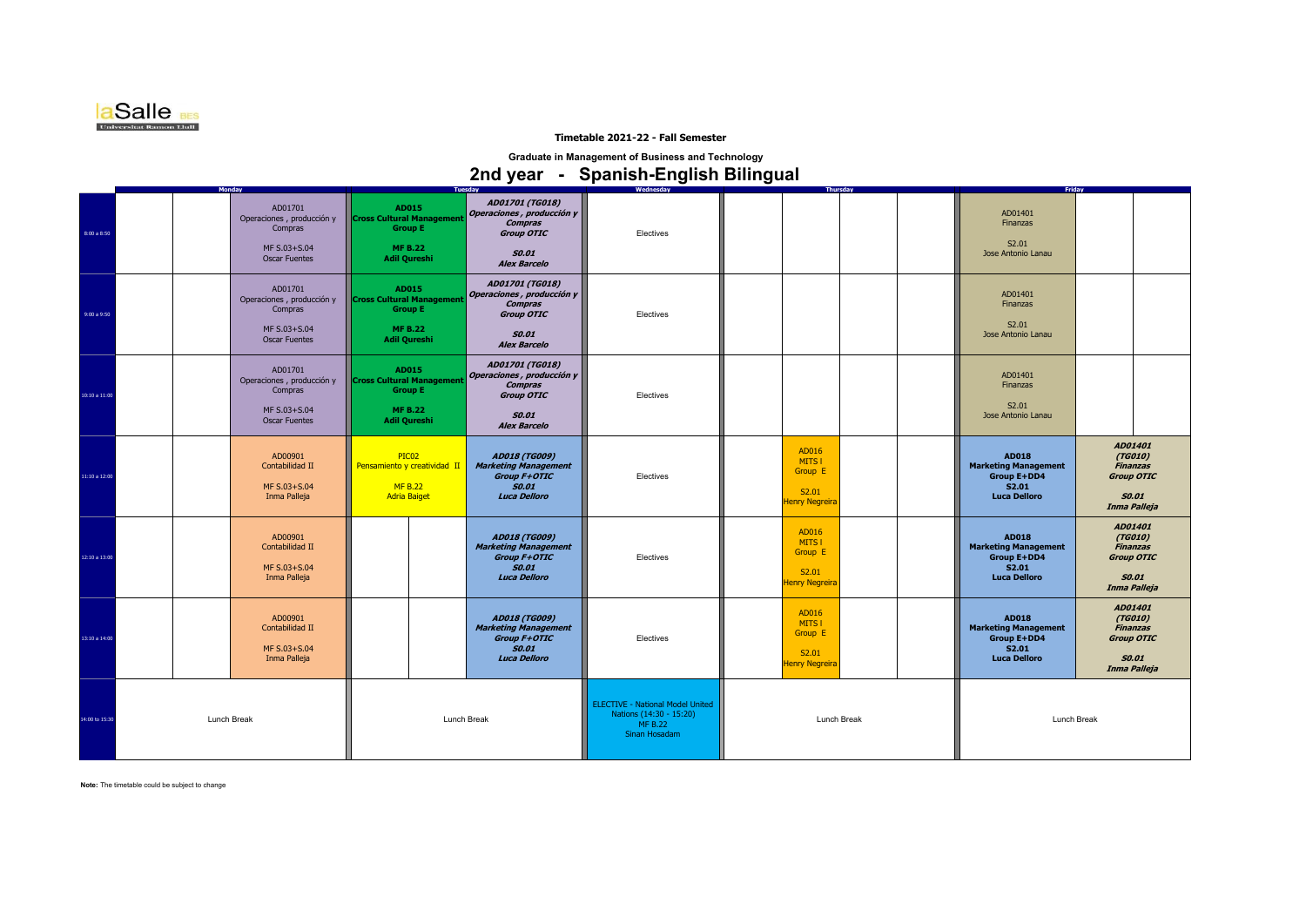

**Graduate in Management of Business and Technology**

# **2nd year - Spanish-English Bilingual**

|                | <b>Monday</b>                                                                           |                                                                                                      | <b>Tuesday</b>                                                                                                      | Wednesday                                                                                             | Thursdav                                                     | Friday                                                                                     |                                                                                            |  |
|----------------|-----------------------------------------------------------------------------------------|------------------------------------------------------------------------------------------------------|---------------------------------------------------------------------------------------------------------------------|-------------------------------------------------------------------------------------------------------|--------------------------------------------------------------|--------------------------------------------------------------------------------------------|--------------------------------------------------------------------------------------------|--|
| 8:00 a 8:50    | AD01701<br>Operaciones, producción y<br>Compras<br>MF S.03+S.04<br><b>Oscar Fuentes</b> | AD015<br><b>Cross Cultural Management</b><br><b>Group E</b><br><b>MF B.22</b><br><b>Adil Qureshi</b> | AD01701 (TG018)<br>Operaciones, producción y<br><b>Compras</b><br>Group OTIC<br><b>SO.01</b><br><b>Alex Barcelo</b> | Electives                                                                                             |                                                              | AD01401<br>Finanzas<br>S2.01<br>Jose Antonio Lanau                                         |                                                                                            |  |
| 9:00 a 9:50    | AD01701<br>Operaciones, producción y<br>Compras<br>MF S.03+S.04<br><b>Oscar Fuentes</b> | AD015<br><b>Cross Cultural Managemen</b><br><b>Group E</b><br><b>MF B.22</b><br><b>Adil Qureshi</b>  | AD01701 (TG018)<br>Operaciones, producción y<br><b>Compras</b><br>Group OTIC<br><b>SO.01</b><br><b>Alex Barcelo</b> | Electives                                                                                             |                                                              | AD01401<br>Finanzas<br>S2.01<br>Jose Antonio Lanau                                         |                                                                                            |  |
| 10:10 a 11:00  | AD01701<br>Operaciones, producción y<br>Compras<br>MF S.03+S.04<br><b>Oscar Fuentes</b> | AD015<br><b>Cross Cultural Management</b><br><b>Group E</b><br><b>MF B.22</b><br><b>Adil Qureshi</b> | AD01701 (TG018)<br>Operaciones, producción y<br><b>Compras</b><br>Group OTIC<br><b>SO.01</b><br><b>Alex Barcelo</b> | Electives                                                                                             |                                                              | AD01401<br>Finanzas<br>S2.01<br>Jose Antonio Lanau                                         |                                                                                            |  |
| 11:10 a 12:00  | AD00901<br>Contabilidad II<br>MF S.03+S.04<br>Inma Palleja                              | PIC02<br>Pensamiento y creatividad II<br><b>MF B.22</b><br><b>Adria Baiget</b>                       | AD018 (TG009)<br><b>Marketing Management</b><br><b>Group F+OTIC</b><br><b>SO.01</b><br><b>Luca Delloro</b>          | Electives                                                                                             | AD016<br>MITS I<br>Group E<br>S2.01<br><b>Henry Negreira</b> | <b>AD018</b><br><b>Marketing Management</b><br>Group E+DD4<br>S2.01<br><b>Luca Delloro</b> | AD01401<br>(TG010)<br><b>Finanzas</b><br>Group OTIC<br><b>SO.01</b><br>Inma Palleja        |  |
| 12:10 a 13:00  | AD00901<br>Contabilidad II<br>MF S.03+S.04<br>Inma Palleja                              |                                                                                                      | AD018 (TG009)<br><b>Marketing Management</b><br><b>Group F+OTIC</b><br><b>SO.01</b><br><b>Luca Delloro</b>          | Electives                                                                                             | AD016<br>MITS I<br>Group E<br>S2.01<br><b>Henry Negreira</b> | <b>AD018</b><br><b>Marketing Management</b><br>Group E+DD4<br>S2.01<br><b>Luca Delloro</b> | AD01401<br>(TG010)<br><b>Finanzas</b><br><b>Group OTIC</b><br><b>SO.01</b><br>Inma Palleja |  |
| 13:10 a 14:00  | AD00901<br>Contabilidad II<br>MF S.03+S.04<br>Inma Palleja                              |                                                                                                      | AD018 (TG009)<br><b>Marketing Management</b><br><b>Group F+OTIC</b><br><b>SO.01</b><br><b>Luca Delloro</b>          | Electives                                                                                             | AD016<br>MITS I<br>Group E<br>S2.01<br><b>Henry Negreira</b> | AD018<br><b>Marketing Management</b><br>Group E+DD4<br>S2.01<br><b>Luca Delloro</b>        | AD01401<br>(TG010)<br><b>Finanzas</b><br><b>Group OTIC</b><br><b>SO.01</b><br>Inma Palleja |  |
| 14:00 to 15:30 | Lunch Break                                                                             |                                                                                                      | Lunch Break                                                                                                         | <b>ELECTIVE - National Model United</b><br>Nations (14:30 - 15:20)<br><b>MF B.22</b><br>Sinan Hosadam | Lunch Break                                                  | Lunch Break                                                                                |                                                                                            |  |

**Note:** The timetable could be subject to change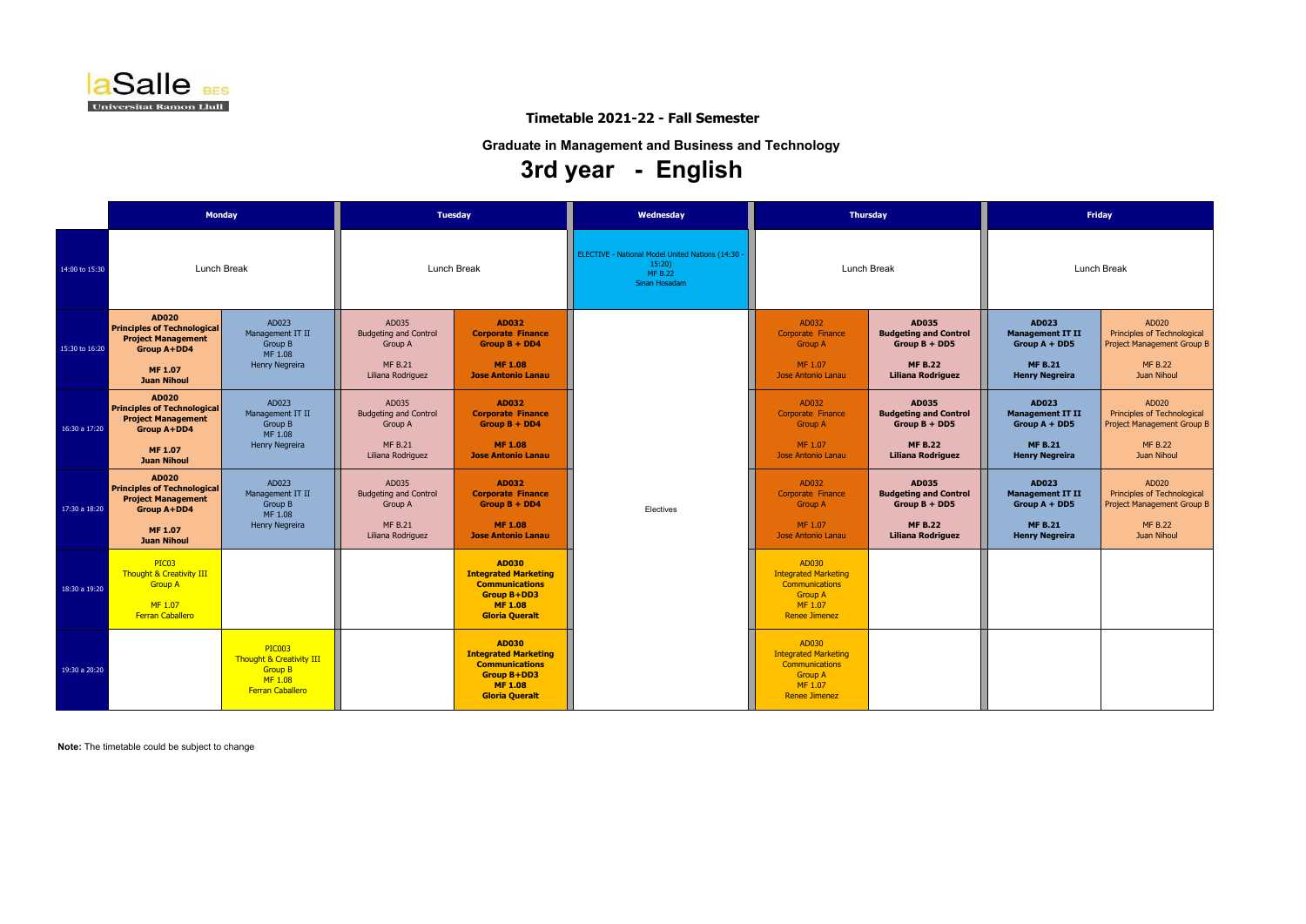AD020 Principles of Technological Project Management Group B

> MF B.22 Juan Nihoul

AD020 Principles of Technological Project Management Group B

> MF B.22 Juan Nihoul

AD020 Principles of Technological Project Management Group B

> MF B.22 Juan Nihoul

**Note:** The timetable could be subject to change

|                |                                                                                                                                               | <b>Monday</b>                                                                                     |                                                                                         | <b>Tuesday</b>                                                                                                                        | Wednesday                                                                               |                                                                                                                    | <b>Thursday</b>                                                                                               | <b>Friday</b>                                                                                         |                 |  |
|----------------|-----------------------------------------------------------------------------------------------------------------------------------------------|---------------------------------------------------------------------------------------------------|-----------------------------------------------------------------------------------------|---------------------------------------------------------------------------------------------------------------------------------------|-----------------------------------------------------------------------------------------|--------------------------------------------------------------------------------------------------------------------|---------------------------------------------------------------------------------------------------------------|-------------------------------------------------------------------------------------------------------|-----------------|--|
| 14:00 to 15:30 |                                                                                                                                               | Lunch Break                                                                                       | <b>Lunch Break</b>                                                                      |                                                                                                                                       | ELECTIVE - National Model United Nations (14:30 -<br>15:20)<br>MF B.22<br>Sinan Hosadam |                                                                                                                    | Lunch Break                                                                                                   | Lunch Break                                                                                           |                 |  |
| 15:30 to 16:20 | <b>AD020</b><br><b>Principles of Technological</b><br><b>Project Management</b><br><b>Group A+DD4</b><br><b>MF 1.07</b><br><b>Juan Nihoul</b> | AD023<br>Management IT II<br>Group B<br>MF 1.08<br>Henry Negreira                                 | AD035<br><b>Budgeting and Control</b><br>Group A<br><b>MF B.21</b><br>Liliana Rodriguez | <b>AD032</b><br><b>Corporate Finance</b><br>Group $B + DD4$<br><b>MF1.08</b><br><b>Jose Antonio Lanau</b>                             | Electives                                                                               | AD032<br>Corporate Finance<br><b>Group A</b><br>MF 1.07<br>Jose Antonio Lanau                                      | <b>AD035</b><br><b>Budgeting and Control</b><br>Group $B + DDS$<br><b>MF B.22</b><br><b>Liliana Rodriguez</b> | <b>AD023</b><br><b>Management IT II</b><br>Group $A + DDS$<br><b>MF B.21</b><br><b>Henry Negreira</b> | Prino<br>Projec |  |
| 16:30 a 17:20  | <b>AD020</b><br><b>Principles of Technological</b><br><b>Project Management</b><br><b>Group A+DD4</b><br><b>MF 1.07</b><br><b>Juan Nihoul</b> | AD023<br>Management IT II<br>Group B<br>MF 1.08<br>Henry Negreira                                 | AD035<br><b>Budgeting and Control</b><br>Group A<br><b>MF B.21</b><br>Liliana Rodriguez | <b>AD032</b><br><b>Corporate Finance</b><br>Group $B + DD4$<br><b>MF 1.08</b><br><b>Jose Antonio Lanau</b>                            |                                                                                         | AD032<br>Corporate Finance<br><b>Group A</b><br>MF 1.07<br>Jose Antonio Lanau                                      | <b>AD035</b><br><b>Budgeting and Control</b><br>$Group B + DDS$<br><b>MF B.22</b><br><b>Liliana Rodriguez</b> | <b>AD023</b><br><b>Management IT II</b><br>Group $A + DDS$<br><b>MF B.21</b><br><b>Henry Negreira</b> | Prino<br>Projec |  |
| 17:30 a 18:20  | <b>AD020</b><br><b>Principles of Technological</b><br><b>Project Management</b><br>Group A+DD4<br><b>MF 1.07</b><br><b>Juan Nihoul</b>        | AD023<br>Management IT II<br>Group B<br>MF 1.08<br>Henry Negreira                                 | AD035<br><b>Budgeting and Control</b><br>Group A<br><b>MF B.21</b><br>Liliana Rodriguez | <b>AD032</b><br><b>Corporate Finance</b><br>Group $B + DD4$<br><b>MF1.08</b><br><b>Jose Antonio Lanau</b>                             |                                                                                         | AD032<br>Corporate Finance<br><b>Group A</b><br>MF 1.07<br>Jose Antonio Lanau                                      | <b>AD035</b><br><b>Budgeting and Control</b><br>$Group B + DDS$<br><b>MF B.22</b><br><b>Liliana Rodriguez</b> | <b>AD023</b><br><b>Management IT II</b><br>Group A + DD5<br><b>MF B.21</b><br><b>Henry Negreira</b>   | Prino<br>Projec |  |
| 18:30 a 19:20  | PIC <sub>03</sub><br>Thought & Creativity III<br><b>Group A</b><br>MF 1.07<br><b>Ferran Caballero</b>                                         |                                                                                                   |                                                                                         | <b>AD030</b><br><b>Integrated Marketing</b><br><b>Communications</b><br><b>Group B+DD3</b><br><b>MF 1.08</b><br><b>Gloria Queralt</b> |                                                                                         | AD030<br><b>Integrated Marketing</b><br><b>Communications</b><br><b>Group A</b><br>MF 1.07<br><b>Renee Jimenez</b> |                                                                                                               |                                                                                                       |                 |  |
| 19:30 a 20:20  |                                                                                                                                               | <b>PIC003</b><br>Thought & Creativity III<br><b>Group B</b><br>MF 1.08<br><b>Ferran Caballero</b> |                                                                                         | <b>AD030</b><br><b>Integrated Marketing</b><br><b>Communications</b><br><b>Group B+DD3</b><br><b>MF 1.08</b><br><b>Gloria Queralt</b> |                                                                                         | AD030<br><b>Integrated Marketing</b><br>Communications<br><b>Group A</b><br>MF 1.07<br><b>Renee Jimenez</b>        |                                                                                                               |                                                                                                       |                 |  |



# **Timetable 2021-22 - Fall Semester**

**Graduate in Management and Business and Technology**

# **3rd year - English**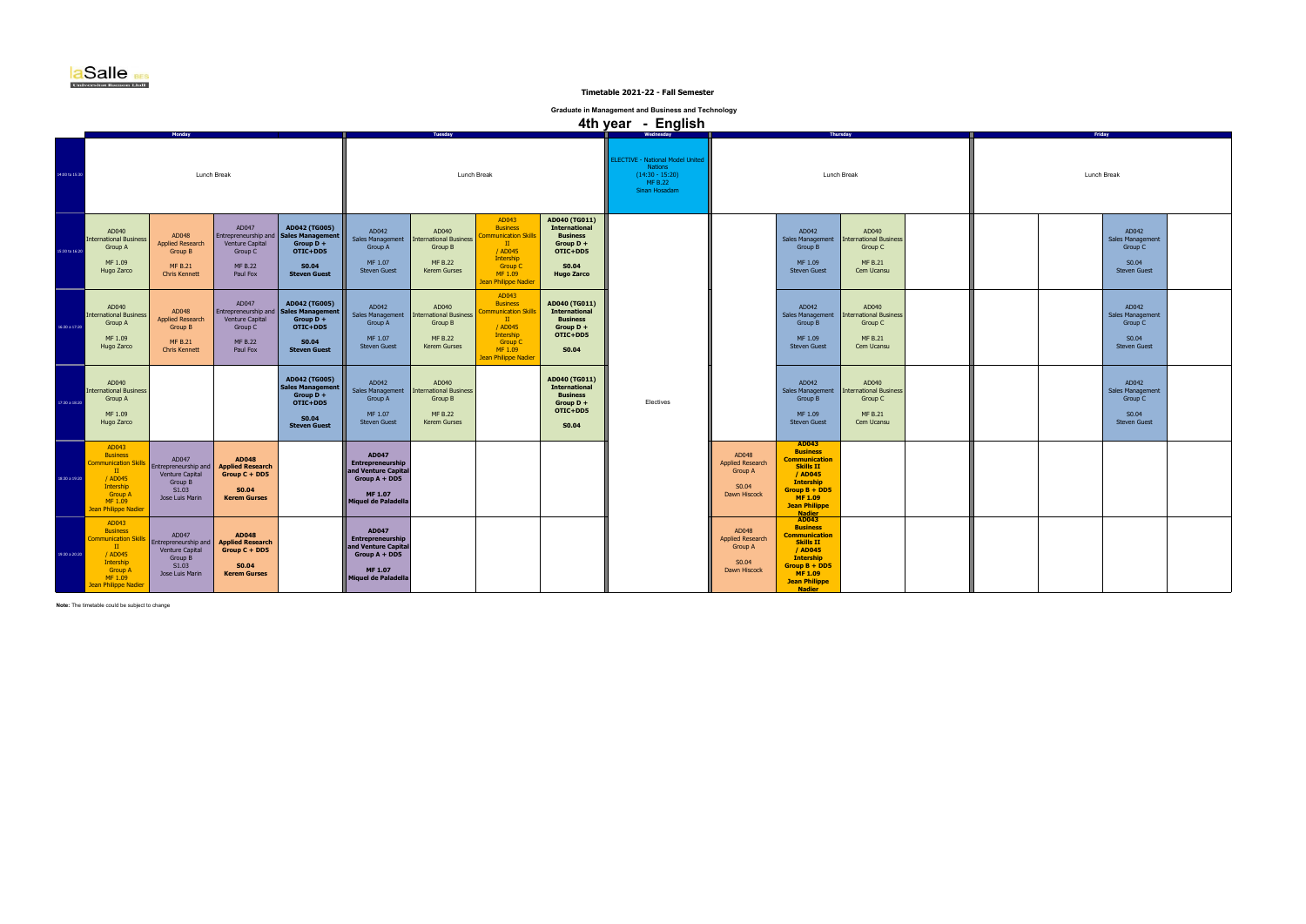| Friday      |  |                                                                      |  |  |  |  |  |  |  |  |  |
|-------------|--|----------------------------------------------------------------------|--|--|--|--|--|--|--|--|--|
| Lunch Break |  |                                                                      |  |  |  |  |  |  |  |  |  |
|             |  | AD042<br>Sales Management<br>Group C<br>S0.04<br>Steven Guest        |  |  |  |  |  |  |  |  |  |
|             |  | AD042<br>Sales Management<br>Group C<br>S0.04<br><b>Steven Guest</b> |  |  |  |  |  |  |  |  |  |
|             |  | AD042<br>Sales Management<br>Group C<br>S0.04<br>Steven Guest        |  |  |  |  |  |  |  |  |  |
|             |  |                                                                      |  |  |  |  |  |  |  |  |  |
|             |  |                                                                      |  |  |  |  |  |  |  |  |  |

**Note:** The timetable could be subject to change

|                |                                                                                                                                                      | <b>Monday</b>                                                                           |                                                                                                   |                                                                                                                     |                                                                                                                            | 4th year - English<br>Thursday<br>Tuesday                                           |                                                                                                                                                      |                                                                                                                   |                                                                                                                   |                                                                             |                                                                                                                                                                                            |                                                                                   |  |  | Friday  |
|----------------|------------------------------------------------------------------------------------------------------------------------------------------------------|-----------------------------------------------------------------------------------------|---------------------------------------------------------------------------------------------------|---------------------------------------------------------------------------------------------------------------------|----------------------------------------------------------------------------------------------------------------------------|-------------------------------------------------------------------------------------|------------------------------------------------------------------------------------------------------------------------------------------------------|-------------------------------------------------------------------------------------------------------------------|-------------------------------------------------------------------------------------------------------------------|-----------------------------------------------------------------------------|--------------------------------------------------------------------------------------------------------------------------------------------------------------------------------------------|-----------------------------------------------------------------------------------|--|--|---------|
| 14:00 to 15:30 | Lunch Break                                                                                                                                          |                                                                                         |                                                                                                   |                                                                                                                     |                                                                                                                            |                                                                                     | Lunch Break                                                                                                                                          |                                                                                                                   | <b>ELECTIVE - National Model United</b><br><b>Nations</b><br>$(14:30 - 15:20)$<br><b>MF B.22</b><br>Sinan Hosadam |                                                                             | Lunch Break                                                                                                                                                                                |                                                                                   |  |  | Lunch B |
| 15:30 to 16:20 | AD040<br><b>International Business</b><br>Group A<br>MF 1.09<br>Hugo Zarco                                                                           | AD048<br><b>Applied Research</b><br>Group B<br><b>MF B.21</b><br><b>Chris Kennett</b>   | AD047<br>Venture Capital<br>Group C<br><b>MF B.22</b><br>Paul Fox                                 | AD042 (TG005)<br>Entrepreneurship and   Sales Management<br>Group $D +$<br>OTIC+DD5<br>S0.04<br><b>Steven Guest</b> | AD042<br>Sales Management<br>Group A<br>MF 1.07<br><b>Steven Guest</b>                                                     | AD040<br><b>International Business</b><br>Group B<br><b>MF B.22</b><br>Kerem Gurses | AD043<br><b>Business</b><br><b>Communication Skills</b><br>$\mathbf{H}$<br>/ AD045<br>Intership<br><b>Group C</b><br>MF 1.09<br>Jean Philippe Nadier | AD040 (TG011)<br><b>International</b><br><b>Business</b><br>Group $D +$<br>OTIC+DD5<br>S0.04<br><b>Hugo Zarco</b> |                                                                                                                   |                                                                             | AD042<br>Sales Management<br>Group B<br>MF 1.09<br><b>Steven Guest</b>                                                                                                                     | AD040<br><b>International Business</b><br>Group C<br><b>MF B.21</b><br>Cem Ucansu |  |  |         |
| 16:30 a 17:20  | AD040<br><b>International Business</b><br>Group A<br>MF 1.09<br>Hugo Zarco                                                                           | AD048<br><b>Applied Research</b><br>Group B<br><b>MF B.21</b><br><b>Chris Kennett</b>   | AD047<br>Venture Capital<br>Group C<br><b>MF B.22</b><br>Paul Fox                                 | AD042 (TG005)<br>Entrepreneurship and   Sales Management<br>Group $D +$<br>OTIC+DD5<br>S0.04<br><b>Steven Guest</b> | AD042<br><b>Sales Management</b><br>Group A<br>MF 1.07<br><b>Steven Guest</b>                                              | AD040<br><b>International Business</b><br>Group B<br><b>MF B.22</b><br>Kerem Gurses | AD043<br><b>Business</b><br><b>Communication Skills</b><br>$\mathbf{H}$<br>/ AD045<br>Intership<br><b>Group C</b><br>MF 1.09<br>Jean Philippe Nadier | AD040 (TG011)<br><b>International</b><br><b>Business</b><br>Group $D +$<br>OTIC+DD5<br><b>S0.04</b>               |                                                                                                                   |                                                                             | AD042<br>Sales Management<br>Group B<br>MF 1.09<br><b>Steven Guest</b>                                                                                                                     | AD040<br>International Business<br>Group C<br><b>MF B.21</b><br>Cem Ucansu        |  |  |         |
| 17:30 a 18:20  | AD040<br><b>International Business</b><br><b>Group A</b><br>MF 1.09<br>Hugo Zarco                                                                    |                                                                                         |                                                                                                   | AD042 (TG005)<br><b>Sales Management</b><br>Group $D +$<br>OTIC+DD5<br>S0.04<br><b>Steven Guest</b>                 | AD042<br>Sales Management<br>Group A<br>MF 1.07<br><b>Steven Guest</b>                                                     | AD040<br><b>International Business</b><br>Group B<br><b>MF B.22</b><br>Kerem Gurses |                                                                                                                                                      | AD040 (TG011)<br><b>International</b><br><b>Business</b><br>Group D +<br>OTIC+DD5<br><b>S0.04</b>                 | Electives                                                                                                         |                                                                             | AD042<br>Sales Management<br>Group B<br>MF 1.09<br><b>Steven Guest</b>                                                                                                                     | AD040<br><b>International Business</b><br>Group C<br><b>MF B.21</b><br>Cem Ucansu |  |  |         |
| 18:30 a 19:20  | AD043<br><b>Business</b><br><b>Communication Skills</b><br>$\mathbf{H}$<br>/ AD045<br>Intership<br><b>Group A</b><br>MF 1.09<br>Jean Philippe Nadier | AD047<br>Entrepreneurship and<br>Venture Capital<br>Group B<br>S1.03<br>Jose Luis Marin | <b>AD048</b><br><b>Applied Research</b><br>$Group C + DD5$<br>S0.04<br><b>Kerem Gurses</b>        |                                                                                                                     | <b>AD047</b><br><b>Entrepreneurship</b><br>and Venture Capital<br>Group $A + DDS$<br><b>MF 1.07</b><br>Miquel de Paladella |                                                                                     |                                                                                                                                                      |                                                                                                                   |                                                                                                                   | AD048<br>Applied Research<br><b>Group A</b><br>S0.04<br>Dawn Hiscock        | AD043<br><b>Business</b><br><b>Communication</b><br><b>Skills II</b><br>/ AD045<br><b>Intership</b><br>$Group B + DDS$<br><b>MF1.09</b><br><b>Jean Philippe</b>                            |                                                                                   |  |  |         |
| 19:30 a 20:20  | AD043<br><b>Business</b><br><b>Communication Skills</b><br>$\mathbf{H}$<br>/ AD045<br>Intership<br><b>Group A</b><br>MF 1.09<br>Jean Philippe Nadier | AD047<br>Entrepreneurship and<br>Venture Capital<br>Group B<br>S1.03<br>Jose Luis Marin | <b>AD048</b><br><b>Applied Research</b><br>$Group C + DD5$<br><b>S0.04</b><br><b>Kerem Gurses</b> |                                                                                                                     | <b>AD047</b><br>Entrepreneurship<br>and Venture Capital<br>Group $A + DDS$<br><b>MF 1.07</b><br>Miquel de Paladella        |                                                                                     |                                                                                                                                                      |                                                                                                                   |                                                                                                                   | AD048<br><b>Applied Research</b><br><b>Group A</b><br>S0.04<br>Dawn Hiscock | Nadier<br>AD043<br><b>Business</b><br><b>Communication</b><br><b>Skills II</b><br>/ AD045<br><b>Intership</b><br>$Group B + DDS$<br><b>MF1.09</b><br><b>Jean Philippe</b><br><b>Nadier</b> |                                                                                   |  |  |         |



 **Timetable 2021-22 - Fall Semester**

**Graduate in Management and Business and Technology**